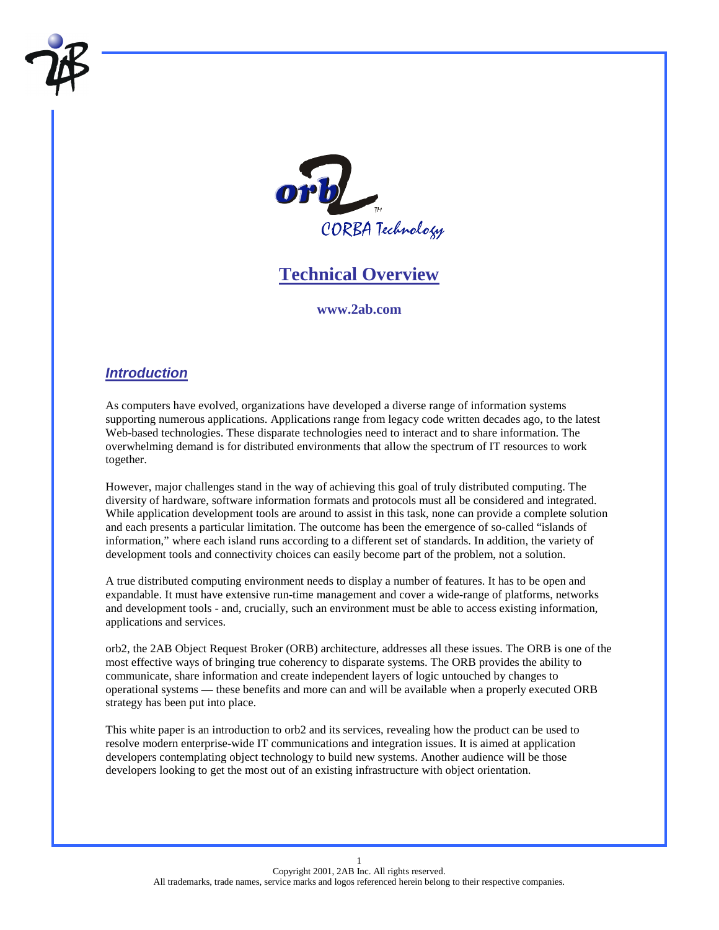

# **Technical Overview**

#### **www.2ab.com**

# *Introduction*

As computers have evolved, organizations have developed a diverse range of information systems supporting numerous applications. Applications range from legacy code written decades ago, to the latest Web-based technologies. These disparate technologies need to interact and to share information. The overwhelming demand is for distributed environments that allow the spectrum of IT resources to work together.

However, major challenges stand in the way of achieving this goal of truly distributed computing. The diversity of hardware, software information formats and protocols must all be considered and integrated. While application development tools are around to assist in this task, none can provide a complete solution and each presents a particular limitation. The outcome has been the emergence of so-called "islands of information," where each island runs according to a different set of standards. In addition, the variety of development tools and connectivity choices can easily become part of the problem, not a solution.

A true distributed computing environment needs to display a number of features. It has to be open and expandable. It must have extensive run-time management and cover a wide-range of platforms, networks and development tools - and, crucially, such an environment must be able to access existing information, applications and services.

orb2, the 2AB Object Request Broker (ORB) architecture, addresses all these issues. The ORB is one of the most effective ways of bringing true coherency to disparate systems. The ORB provides the ability to communicate, share information and create independent layers of logic untouched by changes to operational systems — these benefits and more can and will be available when a properly executed ORB strategy has been put into place.

This white paper is an introduction to orb2 and its services, revealing how the product can be used to resolve modern enterprise-wide IT communications and integration issues. It is aimed at application developers contemplating object technology to build new systems. Another audience will be those developers looking to get the most out of an existing infrastructure with object orientation.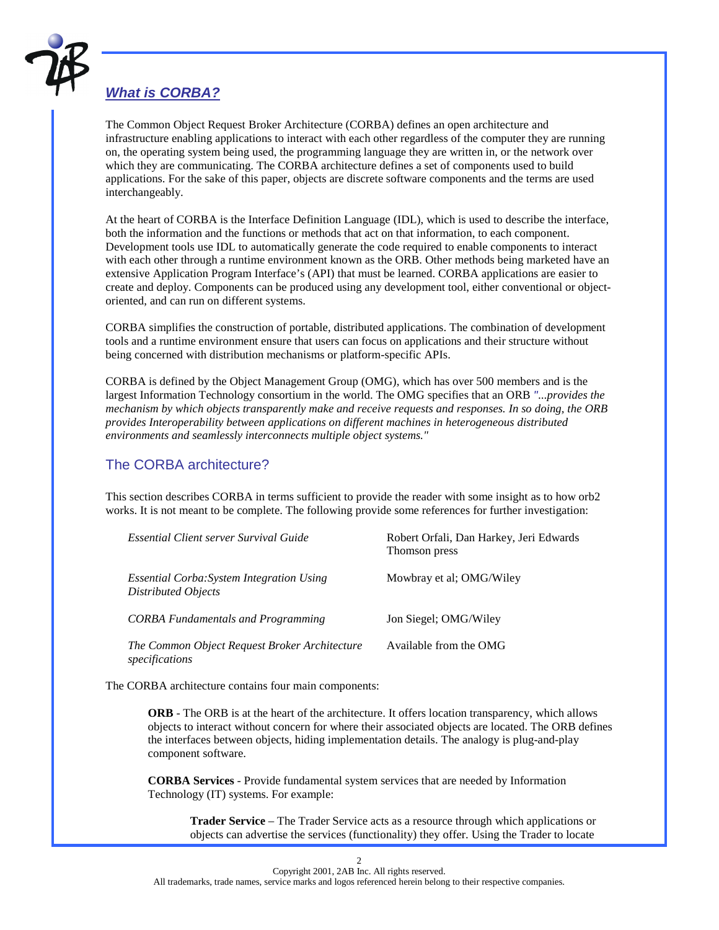

# *What is CORBA?*

The Common Object Request Broker Architecture (CORBA) defines an open architecture and infrastructure enabling applications to interact with each other regardless of the computer they are running on, the operating system being used, the programming language they are written in, or the network over which they are communicating. The CORBA architecture defines a set of components used to build applications. For the sake of this paper, objects are discrete software components and the terms are used interchangeably.

At the heart of CORBA is the Interface Definition Language (IDL), which is used to describe the interface, both the information and the functions or methods that act on that information, to each component. Development tools use IDL to automatically generate the code required to enable components to interact with each other through a runtime environment known as the ORB. Other methods being marketed have an extensive Application Program Interface's (API) that must be learned. CORBA applications are easier to create and deploy. Components can be produced using any development tool, either conventional or objectoriented, and can run on different systems.

CORBA simplifies the construction of portable, distributed applications. The combination of development tools and a runtime environment ensure that users can focus on applications and their structure without being concerned with distribution mechanisms or platform-specific APIs.

CORBA is defined by the Object Management Group (OMG), which has over 500 members and is the largest Information Technology consortium in the world. The OMG specifies that an ORB *"...provides the mechanism by which objects transparently make and receive requests and responses. In so doing, the ORB provides Interoperability between applications on different machines in heterogeneous distributed environments and seamlessly interconnects multiple object systems."* 

# The CORBA architecture?

This section describes CORBA in terms sufficient to provide the reader with some insight as to how orb2 works. It is not meant to be complete. The following provide some references for further investigation:

| Essential Client server Survival Guide                           | Robert Orfali, Dan Harkey, Jeri Edwards<br>Thomson press |
|------------------------------------------------------------------|----------------------------------------------------------|
| Essential Corba: System Integration Using<br>Distributed Objects | Mowbray et al; OMG/Wiley                                 |
| <b>CORBA</b> Fundamentals and Programming                        | Jon Siegel; OMG/Wiley                                    |
| The Common Object Request Broker Architecture<br>specifications  | Available from the OMG                                   |

The CORBA architecture contains four main components:

**ORB** - The ORB is at the heart of the architecture. It offers location transparency, which allows objects to interact without concern for where their associated objects are located. The ORB defines the interfaces between objects, hiding implementation details. The analogy is plug-and-play component software.

**CORBA Services** - Provide fundamental system services that are needed by Information Technology (IT) systems. For example:

**Trader Service** – The Trader Service acts as a resource through which applications or objects can advertise the services (functionality) they offer. Using the Trader to locate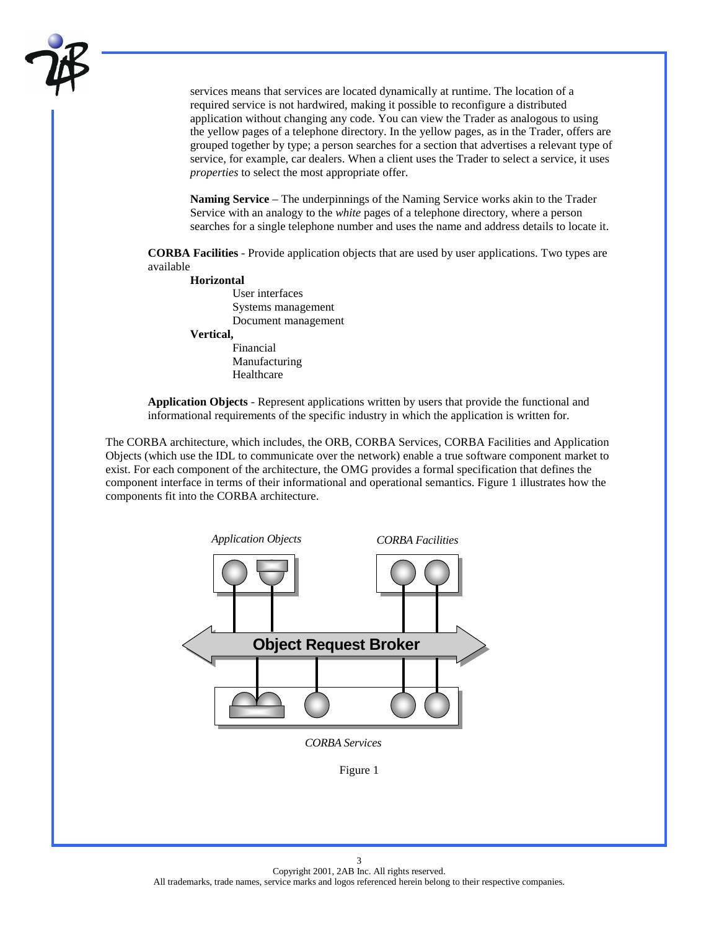

services means that services are located dynamically at runtime. The location of a required service is not hardwired, making it possible to reconfigure a distributed application without changing any code. You can view the Trader as analogous to using the yellow pages of a telephone directory. In the yellow pages, as in the Trader, offers are grouped together by type; a person searches for a section that advertises a relevant type of service, for example, car dealers. When a client uses the Trader to select a service, it uses *properties* to select the most appropriate offer.

**Naming Service** – The underpinnings of the Naming Service works akin to the Trader Service with an analogy to the *white* pages of a telephone directory, where a person searches for a single telephone number and uses the name and address details to locate it.

**CORBA Facilities** - Provide application objects that are used by user applications. Two types are available

#### **Horizontal**

User interfaces Systems management Document management **Vertical,**  Financial Manufacturing

Healthcare

**Application Objects** - Represent applications written by users that provide the functional and informational requirements of the specific industry in which the application is written for.

The CORBA architecture, which includes, the ORB, CORBA Services, CORBA Facilities and Application Objects (which use the IDL to communicate over the network) enable a true software component market to exist. For each component of the architecture, the OMG provides a formal specification that defines the component interface in terms of their informational and operational semantics. Figure 1 illustrates how the components fit into the CORBA architecture.

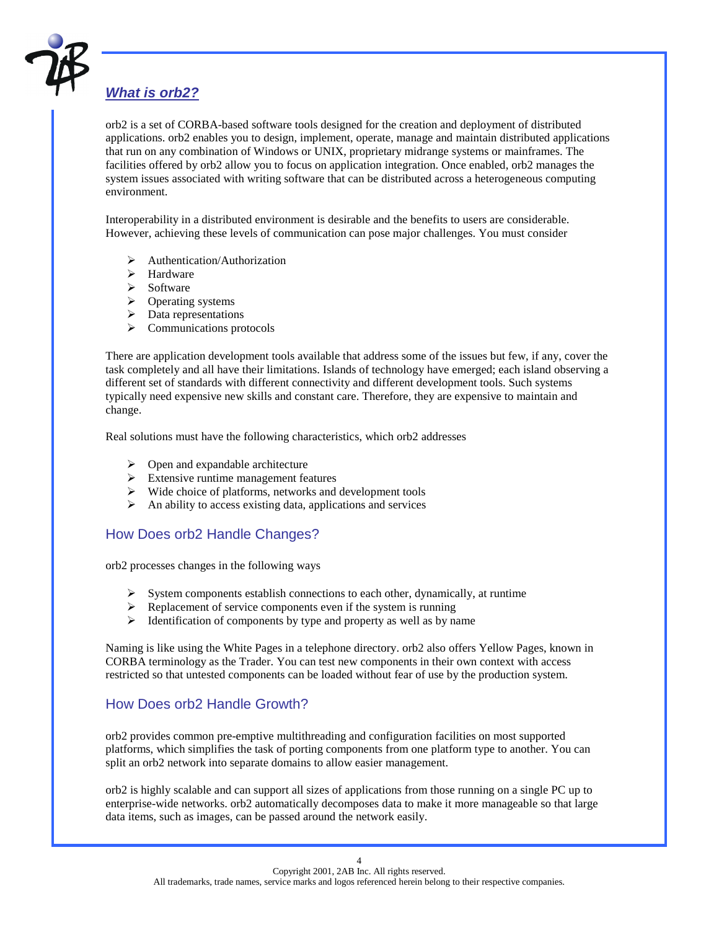

# *What is orb2?*

orb2 is a set of CORBA-based software tools designed for the creation and deployment of distributed applications. orb2 enables you to design, implement, operate, manage and maintain distributed applications that run on any combination of Windows or UNIX, proprietary midrange systems or mainframes. The facilities offered by orb2 allow you to focus on application integration. Once enabled, orb2 manages the system issues associated with writing software that can be distributed across a heterogeneous computing environment.

Interoperability in a distributed environment is desirable and the benefits to users are considerable. However, achieving these levels of communication can pose major challenges. You must consider

- $\triangleright$  Authentication/Authorization
- $\blacktriangleright$  Hardware
- > Software
- > Operating systems
- $\triangleright$  Data representations
- $\triangleright$  Communications protocols

There are application development tools available that address some of the issues but few, if any, cover the task completely and all have their limitations. Islands of technology have emerged; each island observing a different set of standards with different connectivity and different development tools. Such systems typically need expensive new skills and constant care. Therefore, they are expensive to maintain and change.

Real solutions must have the following characteristics, which orb2 addresses

- $\triangleright$  Open and expandable architecture
- $\triangleright$  Extensive runtime management features
- $\triangleright$  Wide choice of platforms, networks and development tools
- $\triangleright$  An ability to access existing data, applications and services

# How Does orb2 Handle Changes?

orb2 processes changes in the following ways

- $\triangleright$  System components establish connections to each other, dynamically, at runtime
- $\triangleright$  Replacement of service components even if the system is running
- $\triangleright$  Identification of components by type and property as well as by name

Naming is like using the White Pages in a telephone directory. orb2 also offers Yellow Pages, known in CORBA terminology as the Trader. You can test new components in their own context with access restricted so that untested components can be loaded without fear of use by the production system.

# How Does orb2 Handle Growth?

orb2 provides common pre-emptive multithreading and configuration facilities on most supported platforms, which simplifies the task of porting components from one platform type to another. You can split an orb2 network into separate domains to allow easier management.

orb2 is highly scalable and can support all sizes of applications from those running on a single PC up to enterprise-wide networks. orb2 automatically decomposes data to make it more manageable so that large data items, such as images, can be passed around the network easily.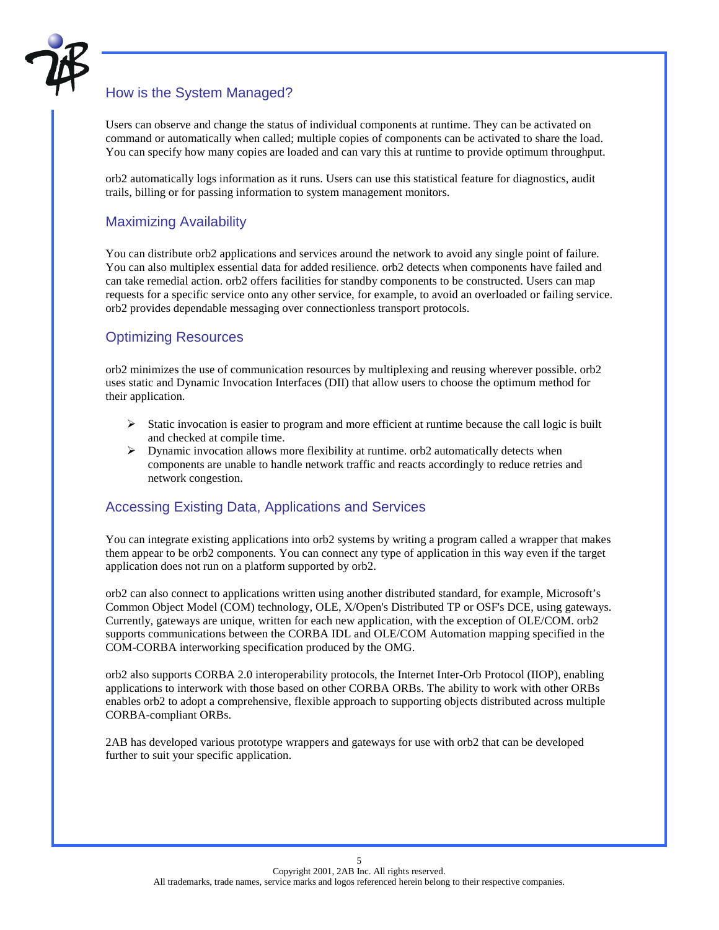

# How is the System Managed?

Users can observe and change the status of individual components at runtime. They can be activated on command or automatically when called; multiple copies of components can be activated to share the load. You can specify how many copies are loaded and can vary this at runtime to provide optimum throughput.

orb2 automatically logs information as it runs. Users can use this statistical feature for diagnostics, audit trails, billing or for passing information to system management monitors.

# Maximizing Availability

You can distribute orb2 applications and services around the network to avoid any single point of failure. You can also multiplex essential data for added resilience. orb2 detects when components have failed and can take remedial action. orb2 offers facilities for standby components to be constructed. Users can map requests for a specific service onto any other service, for example, to avoid an overloaded or failing service. orb2 provides dependable messaging over connectionless transport protocols.

# Optimizing Resources

orb2 minimizes the use of communication resources by multiplexing and reusing wherever possible. orb2 uses static and Dynamic Invocation Interfaces (DII) that allow users to choose the optimum method for their application.

- $\triangleright$  Static invocation is easier to program and more efficient at runtime because the call logic is built and checked at compile time.
- $\triangleright$  Dynamic invocation allows more flexibility at runtime. orb2 automatically detects when components are unable to handle network traffic and reacts accordingly to reduce retries and network congestion.

# Accessing Existing Data, Applications and Services

You can integrate existing applications into orb2 systems by writing a program called a wrapper that makes them appear to be orb2 components. You can connect any type of application in this way even if the target application does not run on a platform supported by orb2.

orb2 can also connect to applications written using another distributed standard, for example, Microsoft's Common Object Model (COM) technology, OLE, X/Open's Distributed TP or OSF's DCE, using gateways. Currently, gateways are unique, written for each new application, with the exception of OLE/COM. orb2 supports communications between the CORBA IDL and OLE/COM Automation mapping specified in the COM-CORBA interworking specification produced by the OMG.

orb2 also supports CORBA 2.0 interoperability protocols, the Internet Inter-Orb Protocol (IIOP), enabling applications to interwork with those based on other CORBA ORBs. The ability to work with other ORBs enables orb2 to adopt a comprehensive, flexible approach to supporting objects distributed across multiple CORBA-compliant ORBs.

2AB has developed various prototype wrappers and gateways for use with orb2 that can be developed further to suit your specific application.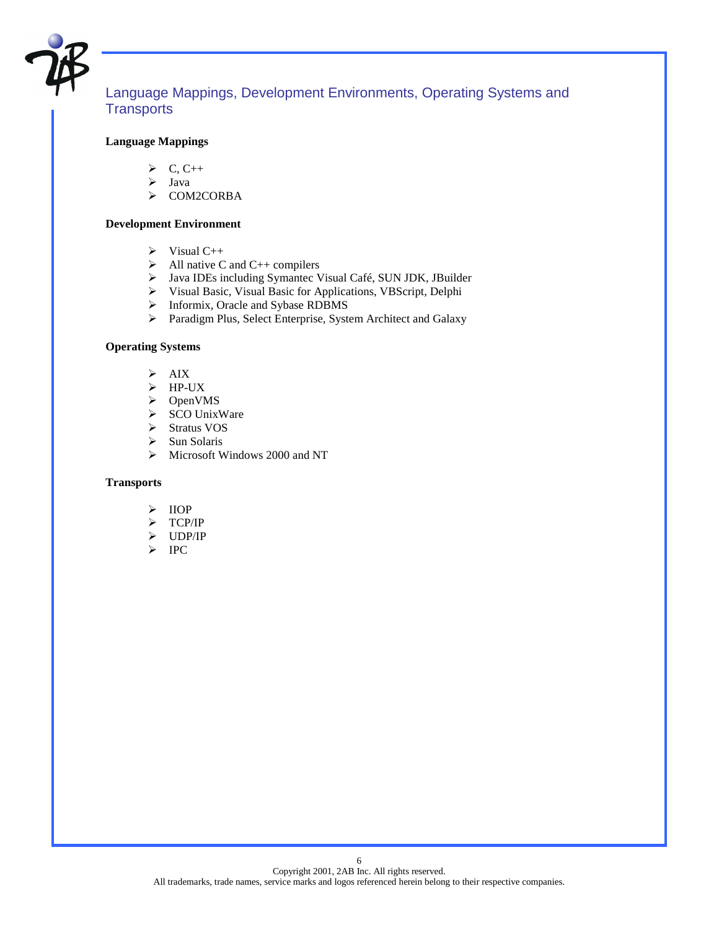

# Language Mappings, Development Environments, Operating Systems and **Transports**

#### **Language Mappings**

- $\triangleright$  C, C++
- $\triangleright$  Java
- > COM2CORBA

#### **Development Environment**

- $\triangleright$  Visual C++
- $\triangleright$  All native C and C++ compilers
- > Java IDEs including Symantec Visual Café, SUN JDK, JBuilder
- ! Visual Basic, Visual Basic for Applications, VBScript, Delphi
- > Informix, Oracle and Sybase RDBMS
- ! Paradigm Plus, Select Enterprise, System Architect and Galaxy

#### **Operating Systems**

- $\triangleright$  AIX
- $\triangleright$  HP-UX
- > OpenVMS
- > SCO UnixWare
- > Stratus VOS
- $\triangleright$  Sun Solaris
- $\triangleright$  Microsoft Windows 2000 and NT

#### **Transports**

- $\triangleright$  IIOP
- $\triangleright$  TCP/IP
- $\triangleright$  UDP/IP
- $\triangleright$  IPC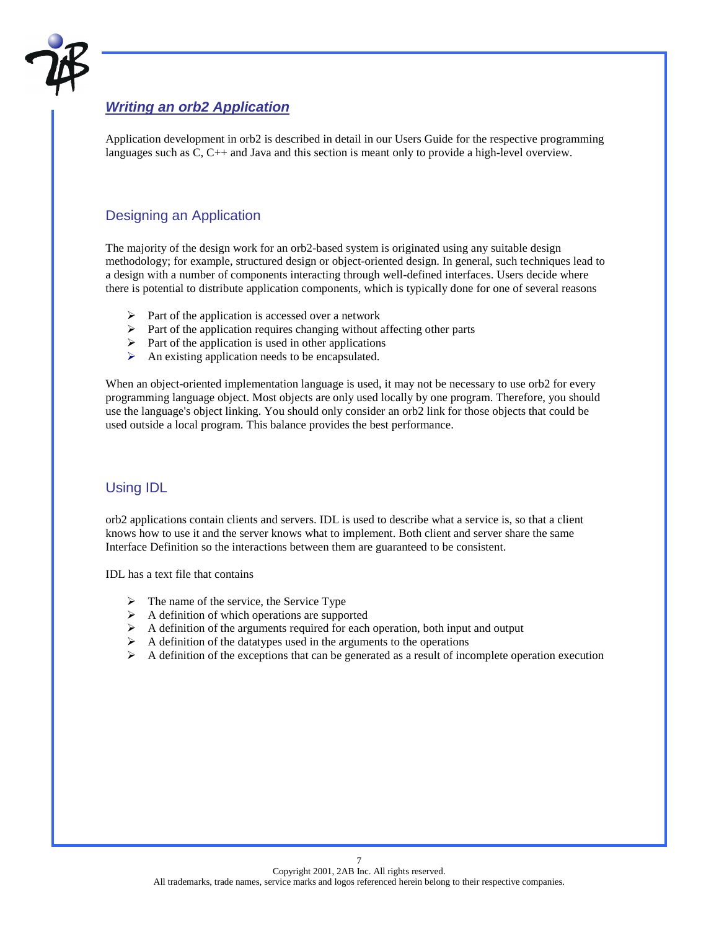

# *Writing an orb2 Application*

Application development in orb2 is described in detail in our Users Guide for the respective programming languages such as C, C++ and Java and this section is meant only to provide a high-level overview.

# Designing an Application

The majority of the design work for an orb2-based system is originated using any suitable design methodology; for example, structured design or object-oriented design. In general, such techniques lead to a design with a number of components interacting through well-defined interfaces. Users decide where there is potential to distribute application components, which is typically done for one of several reasons

- $\triangleright$  Part of the application is accessed over a network
- $\triangleright$  Part of the application requires changing without affecting other parts
- $\triangleright$  Part of the application is used in other applications
- $\triangleright$  An existing application needs to be encapsulated.

When an object-oriented implementation language is used, it may not be necessary to use orb2 for every programming language object. Most objects are only used locally by one program. Therefore, you should use the language's object linking. You should only consider an orb2 link for those objects that could be used outside a local program. This balance provides the best performance.

# Using IDL

orb2 applications contain clients and servers. IDL is used to describe what a service is, so that a client knows how to use it and the server knows what to implement. Both client and server share the same Interface Definition so the interactions between them are guaranteed to be consistent.

IDL has a text file that contains

- $\triangleright$  The name of the service, the Service Type
- $\triangleright$  A definition of which operations are supported
- $\triangleright$  A definition of the arguments required for each operation, both input and output
- $\triangleright$  A definition of the datatypes used in the arguments to the operations
- $\triangleright$  A definition of the exceptions that can be generated as a result of incomplete operation execution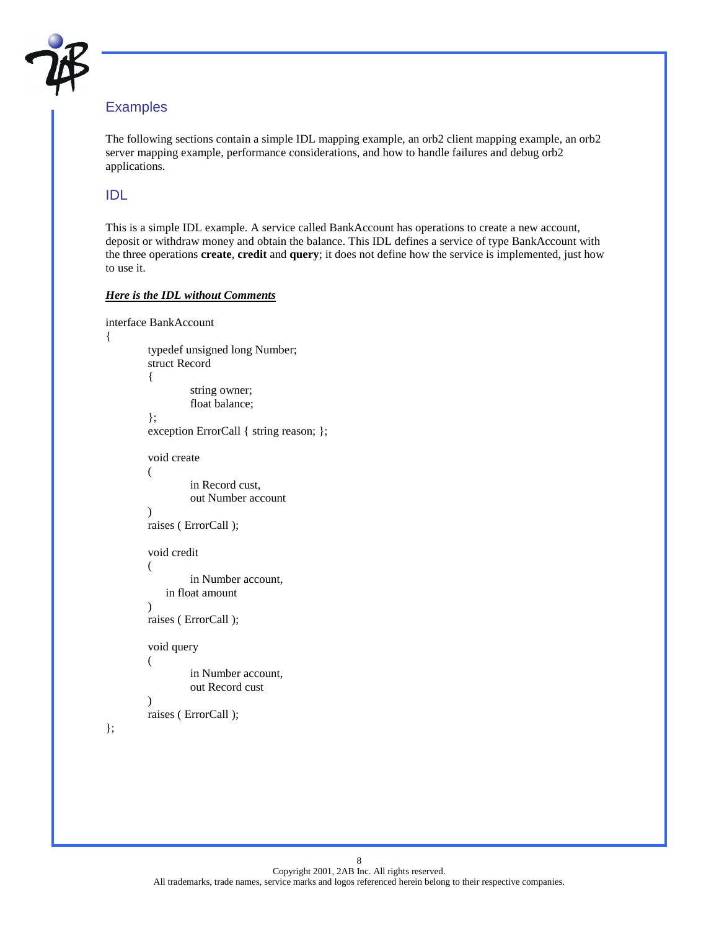

# **Examples**

The following sections contain a simple IDL mapping example, an orb2 client mapping example, an orb2 server mapping example, performance considerations, and how to handle failures and debug orb2 applications.

# IDL

This is a simple IDL example. A service called BankAccount has operations to create a new account, deposit or withdraw money and obtain the balance. This IDL defines a service of type BankAccount with the three operations **create**, **credit** and **query**; it does not define how the service is implemented, just how to use it.

### *Here is the IDL without Comments*

```
interface BankAccount 
{ 
           typedef unsigned long Number; 
           struct Record 
           { 
                      string owner; 
                      float balance; 
           }; 
           exception ErrorCall { string reason; }; 
           void create 
           ( 
                      in Record cust, 
                      out Number account 
           ) 
           raises ( ErrorCall ); 
           void credit 
           ( 
                      in Number account, 
               in float amount 
           ) 
           raises ( ErrorCall ); 
           void query 
           ( 
                      in Number account, 
                      out Record cust 
\overline{\phantom{a}} raises ( ErrorCall );
```

```
};
```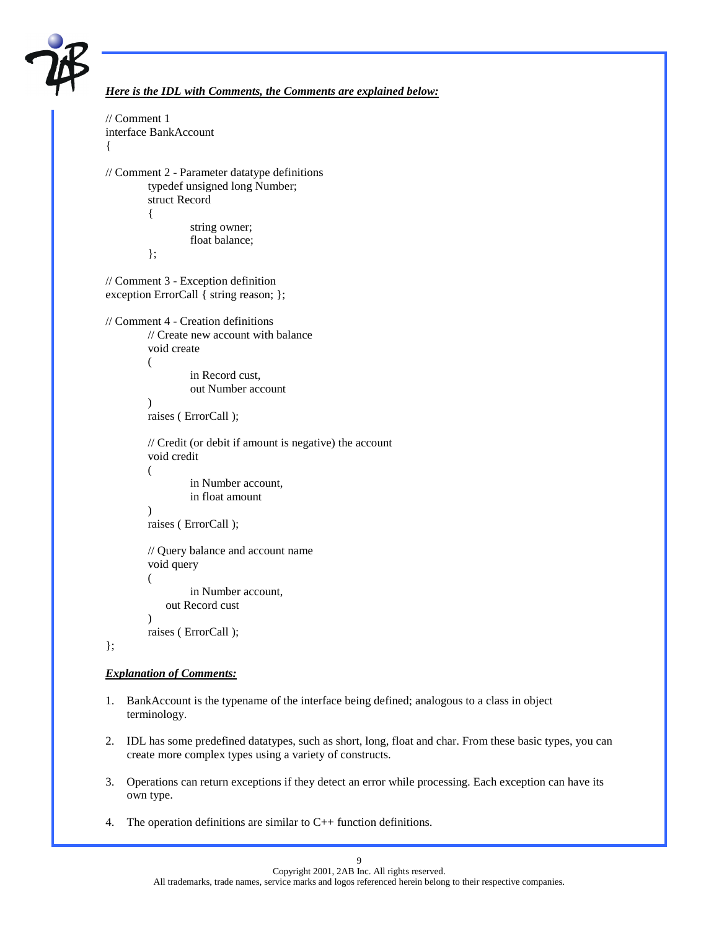

```
Here is the IDL with Comments, the Comments are explained below:
// Comment 1 
interface BankAccount 
{ 
// Comment 2 - Parameter datatype definitions 
          typedef unsigned long Number; 
          struct Record 
          { 
                    string owner; 
                    float balance; 
          }; 
// Comment 3 - Exception definition 
exception ErrorCall { string reason; }; 
// Comment 4 - Creation definitions 
          // Create new account with balance 
          void create 
          ( 
                    in Record cust, 
                    out Number account 
\overline{\phantom{a}} raises ( ErrorCall ); 
          // Credit (or debit if amount is negative) the account 
          void credit 
          ( 
                    in Number account, 
                    in float amount 
          ) 
          raises ( ErrorCall ); 
          // Query balance and account name 
          void query 
          ( 
                    in Number account, 
              out Record cust 
          ) 
          raises ( ErrorCall );
```
#### };

#### *Explanation of Comments:*

- 1. BankAccount is the typename of the interface being defined; analogous to a class in object terminology.
- 2. IDL has some predefined datatypes, such as short, long, float and char. From these basic types, you can create more complex types using a variety of constructs.
- 3. Operations can return exceptions if they detect an error while processing. Each exception can have its own type.
- 4. The operation definitions are similar to  $C_{++}$  function definitions.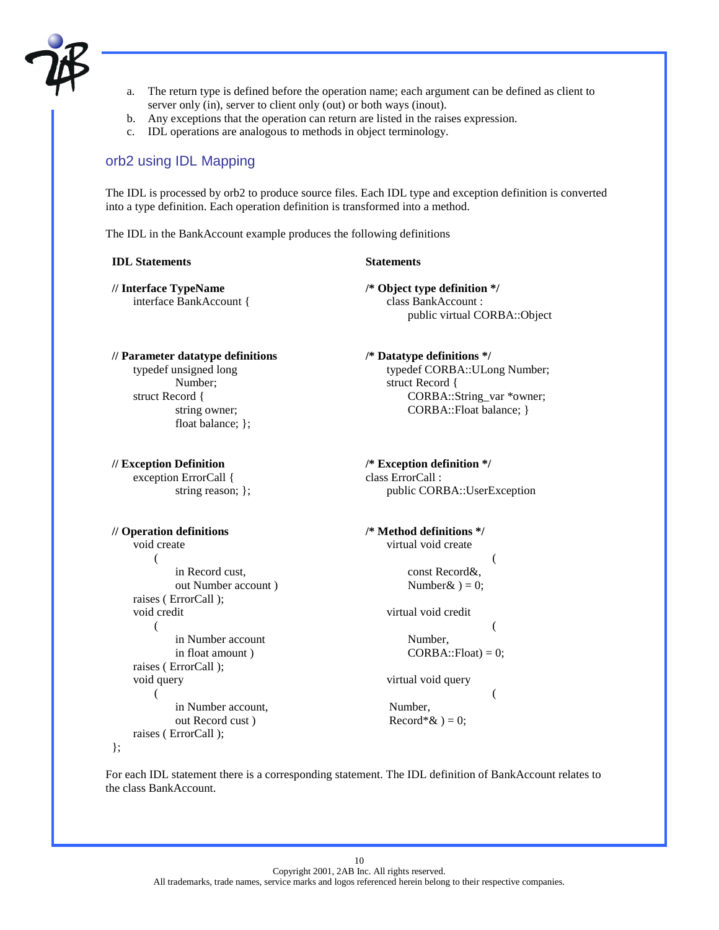

- a. The return type is defined before the operation name; each argument can be defined as client to server only (in), server to client only (out) or both ways (inout).
- b. Any exceptions that the operation can return are listed in the raises expression.
- c. IDL operations are analogous to methods in object terminology.

# orb2 using IDL Mapping

The IDL is processed by orb2 to produce source files. Each IDL type and exception definition is converted into a type definition. Each operation definition is transformed into a method.

The IDL in the BankAccount example produces the following definitions

#### **IDL Statements** Statements

**// Interface TypeName** interface BankAccount { **/\* Object type definition \*/** class BankAccount : public virtual CORBA::Object

#### **// Parameter datatype definitions** typedef unsigned long Number; struct Record { string owner;

float balance; };

**// Exception Definition** exception ErrorCall { string reason; };

#### **// Operation definitions**

};

#### void create ( in Record cust, out Number account ) raises ( ErrorCall ); void credit ( in Number account in float amount ) raises ( ErrorCall ); void query ( in Number account, out Record cust ) raises ( ErrorCall );

**/\* Datatype definitions \*/** typedef CORBA::ULong Number; struct Record { CORBA::String\_var \*owner; CORBA::Float balance; }

**/\* Exception definition \*/** class ErrorCall : public CORBA::UserException

```
/* Method definitions */
    virtual void create 
     \overline{\phantom{a}} const Record&, 
         Number \& ) = 0;
     virtual void credit
```
 $\overline{\phantom{a}}$  Number,  $CORBA::Float) = 0;$ 

virtual void query

 $\overline{\phantom{a}}$  Number,  $Record*& = 0;$ 

For each IDL statement there is a corresponding statement. The IDL definition of BankAccount relates to the class BankAccount.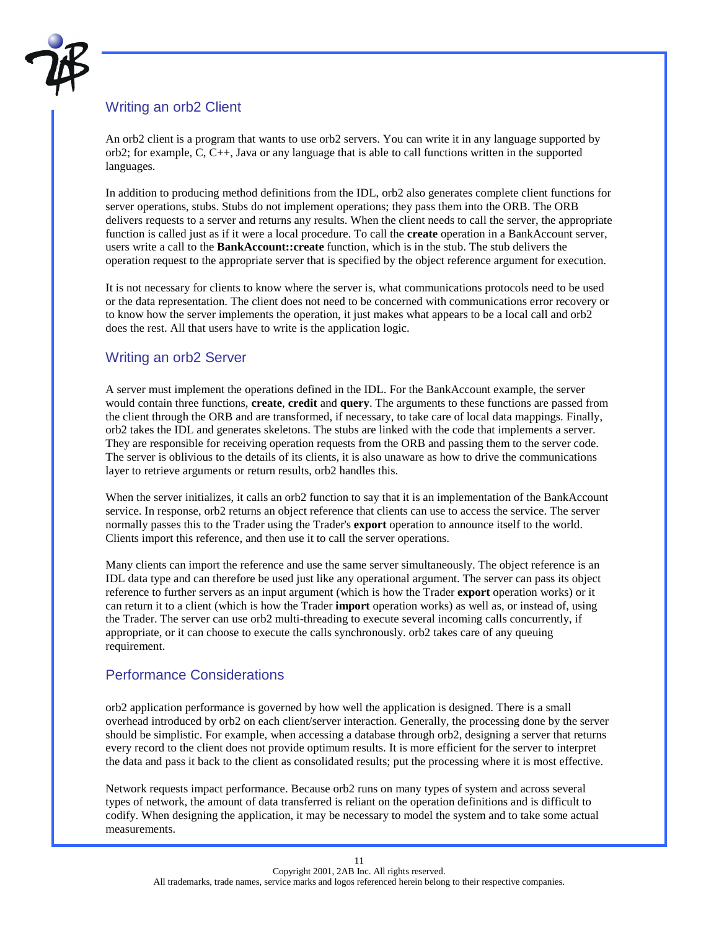

# Writing an orb2 Client

An orb2 client is a program that wants to use orb2 servers. You can write it in any language supported by orb2; for example, C, C++, Java or any language that is able to call functions written in the supported languages.

In addition to producing method definitions from the IDL, orb2 also generates complete client functions for server operations, stubs. Stubs do not implement operations; they pass them into the ORB. The ORB delivers requests to a server and returns any results. When the client needs to call the server, the appropriate function is called just as if it were a local procedure. To call the **create** operation in a BankAccount server, users write a call to the **BankAccount::create** function, which is in the stub. The stub delivers the operation request to the appropriate server that is specified by the object reference argument for execution.

It is not necessary for clients to know where the server is, what communications protocols need to be used or the data representation. The client does not need to be concerned with communications error recovery or to know how the server implements the operation, it just makes what appears to be a local call and orb2 does the rest. All that users have to write is the application logic.

# Writing an orb2 Server

A server must implement the operations defined in the IDL. For the BankAccount example, the server would contain three functions, **create**, **credit** and **query**. The arguments to these functions are passed from the client through the ORB and are transformed, if necessary, to take care of local data mappings. Finally, orb2 takes the IDL and generates skeletons. The stubs are linked with the code that implements a server. They are responsible for receiving operation requests from the ORB and passing them to the server code. The server is oblivious to the details of its clients, it is also unaware as how to drive the communications layer to retrieve arguments or return results, orb2 handles this.

When the server initializes, it calls an orb2 function to say that it is an implementation of the BankAccount service. In response, orb2 returns an object reference that clients can use to access the service. The server normally passes this to the Trader using the Trader's **export** operation to announce itself to the world. Clients import this reference, and then use it to call the server operations.

Many clients can import the reference and use the same server simultaneously. The object reference is an IDL data type and can therefore be used just like any operational argument. The server can pass its object reference to further servers as an input argument (which is how the Trader **export** operation works) or it can return it to a client (which is how the Trader **import** operation works) as well as, or instead of, using the Trader. The server can use orb2 multi-threading to execute several incoming calls concurrently, if appropriate, or it can choose to execute the calls synchronously. orb2 takes care of any queuing requirement.

# Performance Considerations

orb2 application performance is governed by how well the application is designed. There is a small overhead introduced by orb2 on each client/server interaction. Generally, the processing done by the server should be simplistic. For example, when accessing a database through orb2, designing a server that returns every record to the client does not provide optimum results. It is more efficient for the server to interpret the data and pass it back to the client as consolidated results; put the processing where it is most effective.

Network requests impact performance. Because orb2 runs on many types of system and across several types of network, the amount of data transferred is reliant on the operation definitions and is difficult to codify. When designing the application, it may be necessary to model the system and to take some actual measurements.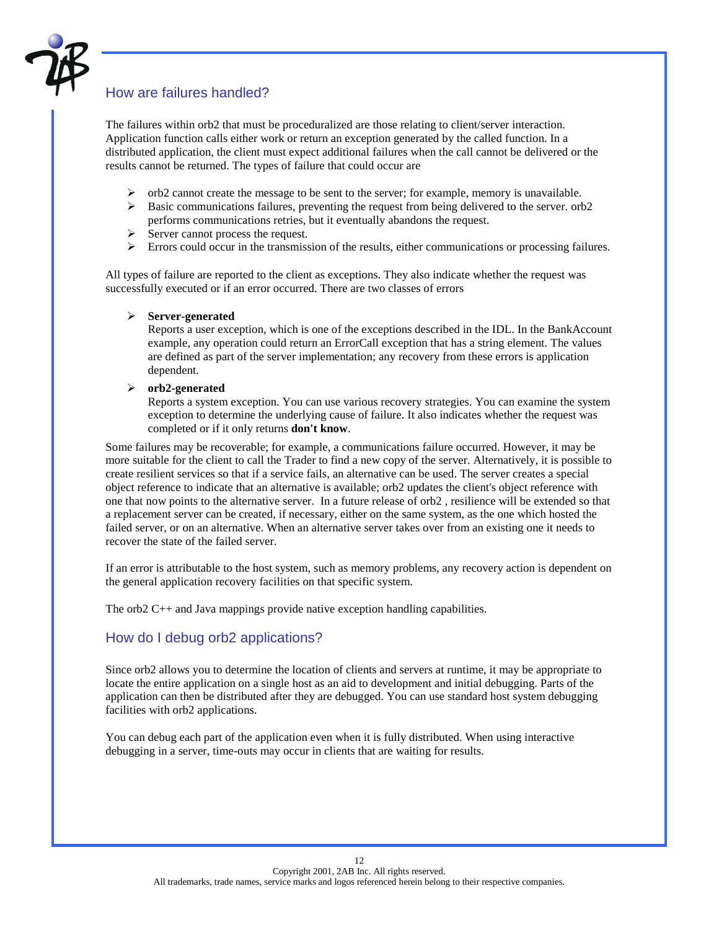

# How are failures handled?

The failures within orb2 that must be proceduralized are those relating to client/server interaction. Application function calls either work or return an exception generated by the called function. In a distributed application, the client must expect additional failures when the call cannot be delivered or the results cannot be returned. The types of failure that could occur are

- $\triangleright$  orb2 cannot create the message to be sent to the server; for example, memory is unavailable.
- $\triangleright$  Basic communications failures, preventing the request from being delivered to the server. orb2 performs communications retries, but it eventually abandons the request.
- $\triangleright$  Server cannot process the request.
- ! Errors could occur in the transmission of the results, either communications or processing failures.

All types of failure are reported to the client as exceptions. They also indicate whether the request was successfully executed or if an error occurred. There are two classes of errors

#### ! **Server-generated**

Reports a user exception, which is one of the exceptions described in the IDL. In the BankAccount example, any operation could return an ErrorCall exception that has a string element. The values are defined as part of the server implementation; any recovery from these errors is application dependent.

#### ! **orb2-generated**

Reports a system exception. You can use various recovery strategies. You can examine the system exception to determine the underlying cause of failure. It also indicates whether the request was completed or if it only returns **don't know**.

Some failures may be recoverable; for example, a communications failure occurred. However, it may be more suitable for the client to call the Trader to find a new copy of the server. Alternatively, it is possible to create resilient services so that if a service fails, an alternative can be used. The server creates a special object reference to indicate that an alternative is available; orb2 updates the client's object reference with one that now points to the alternative server. In a future release of orb2 , resilience will be extended so that a replacement server can be created, if necessary, either on the same system, as the one which hosted the failed server, or on an alternative. When an alternative server takes over from an existing one it needs to recover the state of the failed server.

If an error is attributable to the host system, such as memory problems, any recovery action is dependent on the general application recovery facilities on that specific system.

The orb2 C++ and Java mappings provide native exception handling capabilities.

# How do I debug orb2 applications?

Since orb2 allows you to determine the location of clients and servers at runtime, it may be appropriate to locate the entire application on a single host as an aid to development and initial debugging. Parts of the application can then be distributed after they are debugged. You can use standard host system debugging facilities with orb2 applications.

You can debug each part of the application even when it is fully distributed. When using interactive debugging in a server, time-outs may occur in clients that are waiting for results.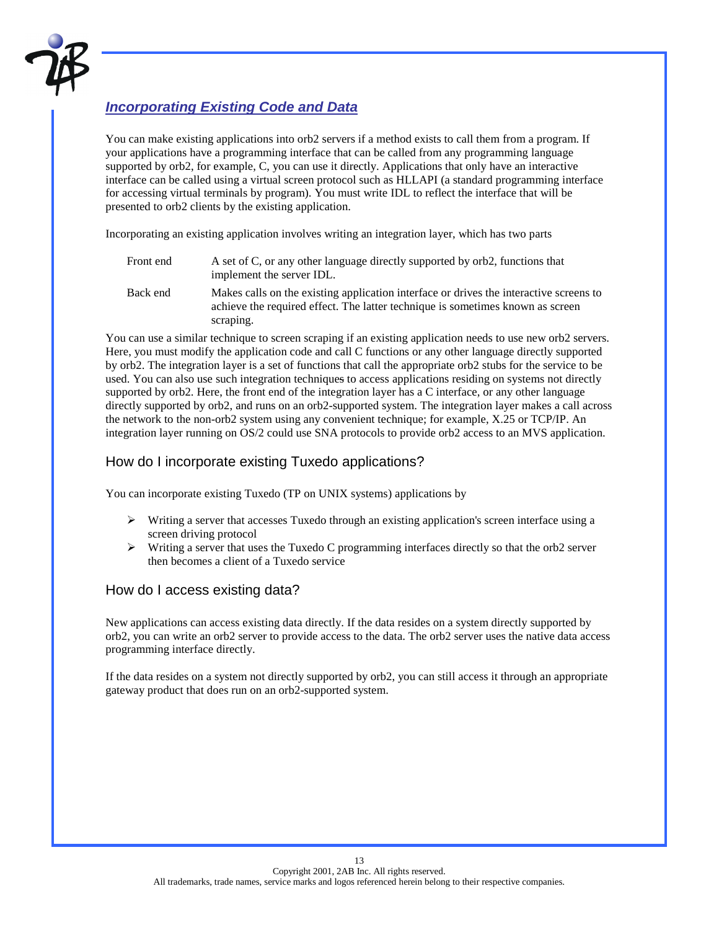

# *Incorporating Existing Code and Data*

You can make existing applications into orb2 servers if a method exists to call them from a program. If your applications have a programming interface that can be called from any programming language supported by orb2, for example, C, you can use it directly. Applications that only have an interactive interface can be called using a virtual screen protocol such as HLLAPI (a standard programming interface for accessing virtual terminals by program). You must write IDL to reflect the interface that will be presented to orb2 clients by the existing application.

Incorporating an existing application involves writing an integration layer, which has two parts

| Front end | A set of C, or any other language directly supported by orb2, functions that<br>implement the server IDL.                                                                |
|-----------|--------------------------------------------------------------------------------------------------------------------------------------------------------------------------|
| Back end  | Makes calls on the existing application interface or drives the interactive screens to<br>achieve the required effect. The latter technique is sometimes known as screen |

scraping.

You can use a similar technique to screen scraping if an existing application needs to use new orb2 servers. Here, you must modify the application code and call C functions or any other language directly supported by orb2. The integration layer is a set of functions that call the appropriate orb2 stubs for the service to be used. You can also use such integration techniques to access applications residing on systems not directly supported by orb2. Here, the front end of the integration layer has a C interface, or any other language directly supported by orb2, and runs on an orb2-supported system. The integration layer makes a call across the network to the non-orb2 system using any convenient technique; for example, X.25 or TCP/IP. An integration layer running on OS/2 could use SNA protocols to provide orb2 access to an MVS application.

# How do I incorporate existing Tuxedo applications?

You can incorporate existing Tuxedo (TP on UNIX systems) applications by

- $\triangleright$  Writing a server that accesses Tuxedo through an existing application's screen interface using a screen driving protocol
- $\triangleright$  Writing a server that uses the Tuxedo C programming interfaces directly so that the orb2 server then becomes a client of a Tuxedo service

# How do I access existing data?

New applications can access existing data directly. If the data resides on a system directly supported by orb2, you can write an orb2 server to provide access to the data. The orb2 server uses the native data access programming interface directly.

If the data resides on a system not directly supported by orb2, you can still access it through an appropriate gateway product that does run on an orb2-supported system.